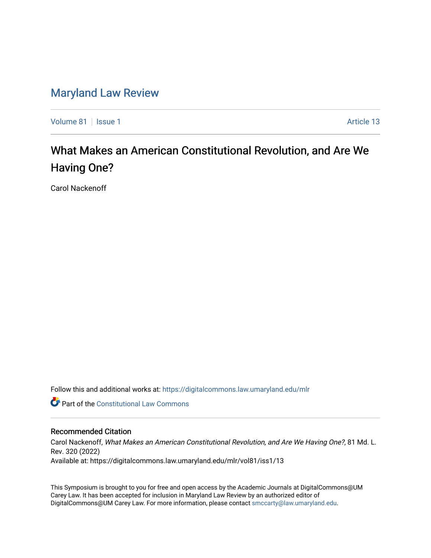# [Maryland Law Review](https://digitalcommons.law.umaryland.edu/mlr)

[Volume 81](https://digitalcommons.law.umaryland.edu/mlr/vol81) | [Issue 1](https://digitalcommons.law.umaryland.edu/mlr/vol81/iss1) Article 13

# What Makes an American Constitutional Revolution, and Are We Having One?

Carol Nackenoff

Follow this and additional works at: [https://digitalcommons.law.umaryland.edu/mlr](https://digitalcommons.law.umaryland.edu/mlr?utm_source=digitalcommons.law.umaryland.edu%2Fmlr%2Fvol81%2Fiss1%2F13&utm_medium=PDF&utm_campaign=PDFCoverPages)

**C** Part of the Constitutional Law Commons

# Recommended Citation

Carol Nackenoff, What Makes an American Constitutional Revolution, and Are We Having One?, 81 Md. L. Rev. 320 (2022) Available at: https://digitalcommons.law.umaryland.edu/mlr/vol81/iss1/13

This Symposium is brought to you for free and open access by the Academic Journals at DigitalCommons@UM Carey Law. It has been accepted for inclusion in Maryland Law Review by an authorized editor of DigitalCommons@UM Carey Law. For more information, please contact [smccarty@law.umaryland.edu.](mailto:smccarty@law.umaryland.edu)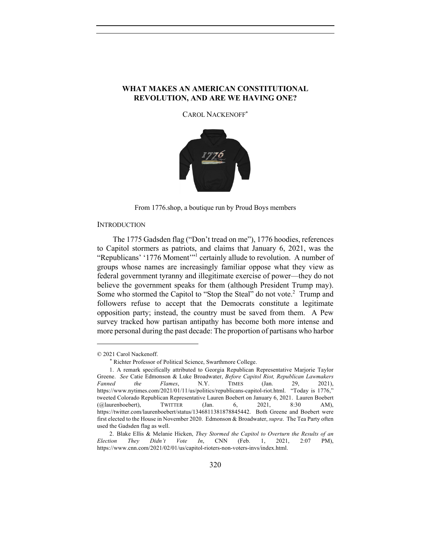## **WHAT MAKES AN AMERICAN CONSTITUTIONAL REVOLUTION, AND ARE WE HAVING ONE?**

CAROL NACKENOFF\*



From 1776.shop, a boutique run by Proud Boys members

#### **INTRODUCTION**

The 1775 Gadsden flag ("Don't tread on me"), 1776 hoodies, references to Capitol stormers as patriots, and claims that January 6, 2021, was the "Republicans' '1776 Moment'"1 certainly allude to revolution. A number of groups whose names are increasingly familiar oppose what they view as federal government tyranny and illegitimate exercise of power—they do not believe the government speaks for them (although President Trump may). Some who stormed the Capitol to "Stop the Steal" do not vote.<sup>2</sup> Trump and followers refuse to accept that the Democrats constitute a legitimate opposition party; instead, the country must be saved from them. A Pew survey tracked how partisan antipathy has become both more intense and more personal during the past decade: The proportion of partisans who harbor

<sup>© 2021</sup> Carol Nackenoff.

<sup>\*</sup> Richter Professor of Political Science, Swarthmore College.

<sup>1.</sup> A remark specifically attributed to Georgia Republican Representative Marjorie Taylor Greene. *See* Catie Edmonson & Luke Broadwater, *Before Capitol Riot, Republican Lawmakers* Fanned the Flames, N.Y. TIMES (Jan. 29, 2021), *Fanned the Flames*, N.Y. TIMES (Jan. 29, 2021), https://www.nytimes.com/2021/01/11/us/politics/republicans-capitol-riot.html. "Today is 1776," tweeted Colorado Republican Representative Lauren Boebert on January 6, 2021. Lauren Boebert (@laurenboebert), TWITTER (Jan. 6, 2021, 8:30 AM), https://twitter.com/laurenboebert/status/1346811381878845442. Both Greene and Boebert were first elected to the House in November 2020. Edmonson & Broadwater, *supra*. The Tea Party often used the Gadsden flag as well.

<sup>2.</sup> Blake Ellis & Melanie Hicken, *They Stormed the Capitol to Overturn the Results of an Election They Didn't Vote In*, CNN (Feb. 1, 2021, 2:07 PM), https://www.cnn.com/2021/02/01/us/capitol-rioters-non-voters-invs/index.html.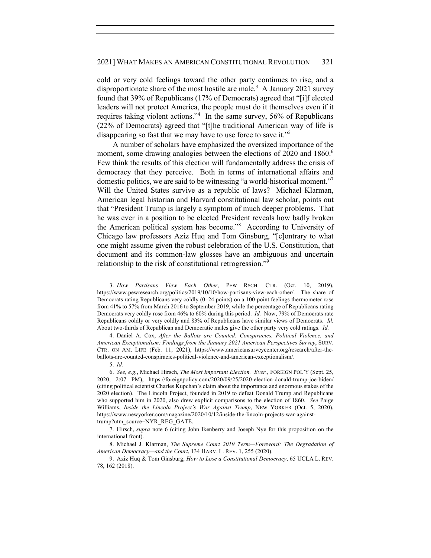cold or very cold feelings toward the other party continues to rise, and a disproportionate share of the most hostile are male.<sup>3</sup> A January 2021 survey found that 39% of Republicans (17% of Democrats) agreed that "[i]f elected leaders will not protect America, the people must do it themselves even if it requires taking violent actions."<sup>4</sup> In the same survey, 56% of Republicans (22% of Democrats) agreed that "[t]he traditional American way of life is disappearing so fast that we may have to use force to save it."<sup>5</sup>

A number of scholars have emphasized the oversized importance of the moment, some drawing analogies between the elections of 2020 and 1860.<sup>6</sup> Few think the results of this election will fundamentally address the crisis of democracy that they perceive. Both in terms of international affairs and domestic politics, we are said to be witnessing "a world-historical moment."<sup>7</sup> Will the United States survive as a republic of laws? Michael Klarman, American legal historian and Harvard constitutional law scholar, points out that "President Trump is largely a symptom of much deeper problems. That he was ever in a position to be elected President reveals how badly broken the American political system has become."<sup>8</sup> According to University of Chicago law professors Aziz Huq and Tom Ginsburg, "[c]ontrary to what one might assume given the robust celebration of the U.S. Constitution, that document and its common-law glosses have an ambiguous and uncertain relationship to the risk of constitutional retrogression."<sup>9</sup>

<sup>3.</sup> *How Partisans View Each Other*, PEW RSCH. CTR. (Oct. 10, 2019), https://www.pewresearch.org/politics/2019/10/10/how-partisans-view-each-other/. The share of Democrats rating Republicans very coldly (0–24 points) on a 100-point feelings thermometer rose from 41% to 57% from March 2016 to September 2019, while the percentage of Republicans rating Democrats very coldly rose from 46% to 60% during this period. *Id.* Now, 79% of Democrats rate Republicans coldly or very coldly and 83% of Republicans have similar views of Democrats. *Id.* About two-thirds of Republican and Democratic males give the other party very cold ratings. *Id.*

<sup>4.</sup> Daniel A. Cox, *After the Ballots are Counted: Conspiracies, Political Violence, and American Exceptionalism: Findings from the January 2021 American Perspectives Survey*, SURV. CTR. ON AM. LIFE (Feb. 11, 2021), https://www.americansurveycenter.org/research/after-theballots-are-counted-conspiracies-political-violence-and-american-exceptionalism/.

<sup>5.</sup> *Id.*

<sup>6.</sup> *See, e.g.*, Michael Hirsch, *The Most Important Election. Ever.*, FOREIGN POL'Y (Sept. 25, 2020, 2:07 PM), https://foreignpolicy.com/2020/09/25/2020-election-donald-trump-joe-biden/ (citing political scientist Charles Kupchan's claim about the importance and enormous stakes of the 2020 election). The Lincoln Project, founded in 2019 to defeat Donald Trump and Republicans who supported him in 2020, also drew explicit comparisons to the election of 1860. *See* Paige Williams, *Inside the Lincoln Project's War Against Trump*, NEW YORKER (Oct. 5, 2020), https://www.newyorker.com/magazine/2020/10/12/inside-the-lincoln-projects-war-againsttrump?utm\_source=NYR\_REG\_GATE.

<sup>7.</sup> Hirsch, *supra* note 6 (citing John Ikenberry and Joseph Nye for this proposition on the international front).

<sup>8.</sup> Michael J. Klarman, *The Supreme Court 2019 Term—Foreword: The Degradation of American Democracy—and the Court*, 134 HARV. L. REV. 1, 255 (2020).

<sup>9.</sup> Aziz Huq & Tom Ginsburg, *How to Lose a Constitutional Democracy*, 65 UCLA L. REV. 78, 162 (2018).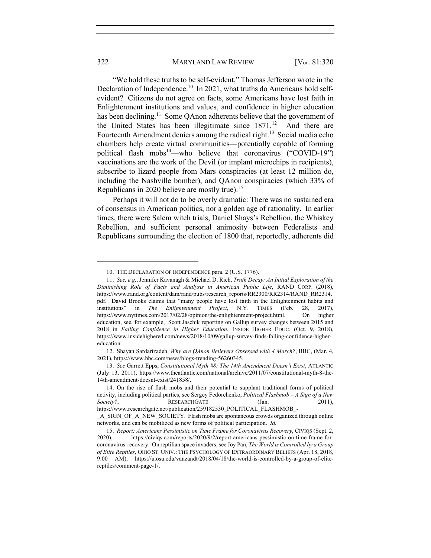"We hold these truths to be self-evident," Thomas Jefferson wrote in the Declaration of Independence.<sup>10</sup> In 2021, what truths do Americans hold selfevident? Citizens do not agree on facts, some Americans have lost faith in Enlightenment institutions and values, and confidence in higher education has been declining.<sup>11</sup> Some QAnon adherents believe that the government of the United States has been illegitimate since  $1871$ .<sup>12</sup> And there are Fourteenth Amendment deniers among the radical right.<sup>13</sup> Social media echo chambers help create virtual communities—potentially capable of forming political flash mobs<sup>14</sup>—who believe that coronavirus ("COVID-19") vaccinations are the work of the Devil (or implant microchips in recipients), subscribe to lizard people from Mars conspiracies (at least 12 million do, including the Nashville bomber), and QAnon conspiracies (which 33% of Republicans in 2020 believe are mostly true).15

Perhaps it will not do to be overly dramatic: There was no sustained era of consensus in American politics, nor a golden age of rationality. In earlier times, there were Salem witch trials, Daniel Shays's Rebellion, the Whiskey Rebellion, and sufficient personal animosity between Federalists and Republicans surrounding the election of 1800 that, reportedly, adherents did

<sup>10.</sup> THE DECLARATION OF INDEPENDENCE para. 2 (U.S. 1776).

<sup>11.</sup> *See, e.g.*, Jennifer Kavanagh & Michael D. Rich, *Truth Decay: An Initial Exploration of the Diminishing Role of Facts and Analysis in American Public Life*, RAND CORP. (2018), https://www.rand.org/content/dam/rand/pubs/research\_reports/RR2300/RR2314/RAND\_RR2314. pdf. David Brooks claims that "many people have lost faith in the Enlightenment habits and institutions" in *The Enlightenment Project*, N.Y. TIMES (Feb. 28, 2017), https://www.nytimes.com/2017/02/28/opinion/the-enlightenment-project.html. On higher education, see, for example, Scott Jaschik reporting on Gallup survey changes between 2015 and 2018 in *Falling Confidence in Higher Education*, INSIDE HIGHER EDUC. (Oct. 9, 2018), https://www.insidehighered.com/news/2018/10/09/gallup-survey-finds-falling-confidence-highereducation.

<sup>12.</sup> Shayan Sardarizadeh, *Why are QAnon Believers Obsessed with 4 March?*, BBC, (Mar. 4, 2021), https://www.bbc.com/news/blogs-trending-56260345.

<sup>13.</sup> *See* Garrett Epps, *Constitutional Myth #8: The 14th Amendment Doesn't Exist*, ATLANTIC (July 13, 2011), https://www.theatlantic.com/national/archive/2011/07/constitutional-myth-8-the-14th-amendment-doesnt-exist/241858/.

<sup>14.</sup> On the rise of flash mobs and their potential to supplant traditional forms of political activity, including political parties, see Sergey Fedorchenko, *Political Flashmob – A Sign of a New Society?*, **RESEARCHGATE** (Jan. 2011),

https://www.researchgate.net/publication/259182530\_POLITICAL\_FLASHMOB\_-

\_A\_SIGN\_OF\_A\_NEW\_SOCIETY. Flash mobs are spontaneous crowds organized through online networks, and can be mobilized as new forms of political participation. *Id.*

<sup>15.</sup> *Report: Americans Pessimistic on Time Frame for Coronavirus Recovery*, CIVIQS (Sept. 2, 2020), https://civiqs.com/reports/2020/9/2/report-americans-pessimistic-on-time-frame-for-2020), https://civiqs.com/reports/2020/9/2/report-americans-pessimistic-on-time-frame-forcoronavirus-recovery. On reptilian space invaders, see Joy Pan, *The World is Controlled by a Group of Elite Reptiles*, OHIO ST. UNIV.: THE PSYCHOLOGY OF EXTRAORDINARY BELIEFS (Apr. 18, 2018, 9:00 AM), https://u.osu.edu/vanzandt/2018/04/18/the-world-is-controlled-by-a-group-of-elitereptiles/comment-page-1/.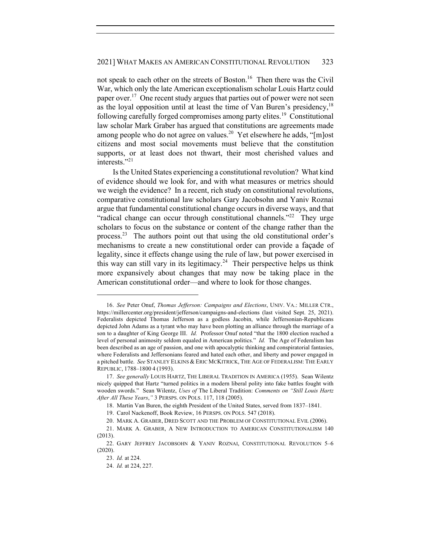not speak to each other on the streets of Boston.<sup>16</sup> Then there was the Civil War, which only the late American exceptionalism scholar Louis Hartz could paper over.<sup>17</sup> One recent study argues that parties out of power were not seen as the loyal opposition until at least the time of Van Buren's presidency,  $18$ following carefully forged compromises among party elites.<sup>19</sup> Constitutional law scholar Mark Graber has argued that constitutions are agreements made among people who do not agree on values.<sup>20</sup> Yet elsewhere he adds, " $[m]$ ost citizens and most social movements must believe that the constitution supports, or at least does not thwart, their most cherished values and interests."<sup>21</sup>

Is the United States experiencing a constitutional revolution? What kind of evidence should we look for, and with what measures or metrics should we weigh the evidence? In a recent, rich study on constitutional revolutions, comparative constitutional law scholars Gary Jacobsohn and Yaniv Roznai argue that fundamental constitutional change occurs in diverse ways, and that "radical change can occur through constitutional channels."<sup>22</sup> They urge scholars to focus on the substance or content of the change rather than the process.<sup>23</sup> The authors point out that using the old constitutional order's mechanisms to create a new constitutional order can provide a façade of legality, since it effects change using the rule of law, but power exercised in this way can still vary in its legitimacy.<sup>24</sup> Their perspective helps us think more expansively about changes that may now be taking place in the American constitutional order—and where to look for those changes.

<sup>16.</sup> *See* Peter Onuf, *Thomas Jefferson: Campaigns and Elections*, UNIV. VA.: MILLER CTR., https://millercenter.org/president/jefferson/campaigns-and-elections (last visited Sept. 25, 2021). Federalists depicted Thomas Jefferson as a godless Jacobin, while Jeffersonian-Republicans depicted John Adams as a tyrant who may have been plotting an alliance through the marriage of a son to a daughter of King George III. *Id.* Professor Onuf noted "that the 1800 election reached a level of personal animosity seldom equaled in American politics." *Id.* The Age of Federalism has been described as an age of passion, and one with apocalyptic thinking and conspiratorial fantasies, where Federalists and Jeffersonians feared and hated each other, and liberty and power engaged in a pitched battle. *See* STANLEY ELKINS & ERIC MCKITRICK, THE AGE OF FEDERALISM: THE EARLY REPUBLIC, 1788–1800 4 (1993).

<sup>17.</sup> *See generally* LOUIS HARTZ, THE LIBERAL TRADITION IN AMERICA (1955). Sean Wilentz nicely quipped that Hartz "turned politics in a modern liberal polity into fake battles fought with wooden swords." Sean Wilentz, *Uses of* The Liberal Tradition: *Comments on "Still Louis Hartz After All These Years*,*"* 3 PERSPS. ON POLS. 117, 118 (2005).

<sup>18.</sup> Martin Van Buren, the eighth President of the United States, served from 1837–1841.

<sup>19.</sup> Carol Nackenoff, Book Review, 16 PERSPS. ON POLS. 547 (2018).

<sup>20.</sup> MARK A. GRABER, DRED SCOTT AND THE PROBLEM OF CONSTITUTIONAL EVIL (2006).

<sup>21.</sup> MARK A. GRABER, A NEW INTRODUCTION TO AMERICAN CONSTITUTIONALISM 140 (2013).

<sup>22.</sup> GARY JEFFREY JACOBSOHN & YANIV ROZNAI, CONSTITUTIONAL REVOLUTION 5–6 (2020).

<sup>23.</sup> *Id.* at 224.

<sup>24.</sup> *Id.* at 224, 227.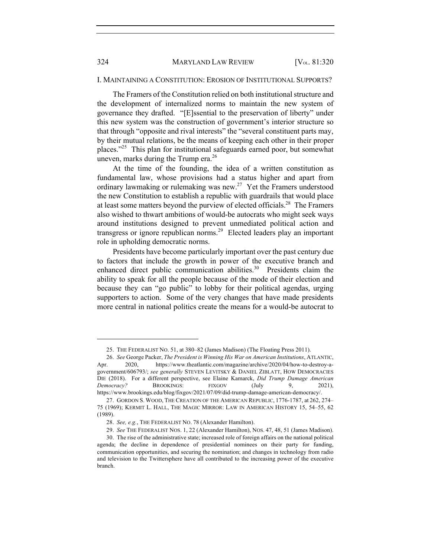#### 324 MARYLAND LAW REVIEW [V<sub>OL.</sub> 81:320]

#### I. MAINTAINING A CONSTITUTION: EROSION OF INSTITUTIONAL SUPPORTS?

The Framers of the Constitution relied on both institutional structure and the development of internalized norms to maintain the new system of governance they drafted. "[E]ssential to the preservation of liberty" under this new system was the construction of government's interior structure so that through "opposite and rival interests" the "several constituent parts may, by their mutual relations, be the means of keeping each other in their proper places."<sup>25</sup> This plan for institutional safeguards earned poor, but somewhat uneven, marks during the Trump era. $^{26}$ 

At the time of the founding, the idea of a written constitution as fundamental law, whose provisions had a status higher and apart from ordinary lawmaking or rulemaking was new.27 Yet the Framers understood the new Constitution to establish a republic with guardrails that would place at least some matters beyond the purview of elected officials.<sup>28</sup> The Framers also wished to thwart ambitions of would-be autocrats who might seek ways around institutions designed to prevent unmediated political action and transgress or ignore republican norms.<sup>29</sup> Elected leaders play an important role in upholding democratic norms.

Presidents have become particularly important over the past century due to factors that include the growth in power of the executive branch and enhanced direct public communication abilities.<sup>30</sup> Presidents claim the ability to speak for all the people because of the mode of their election and because they can "go public" to lobby for their political agendas, urging supporters to action. Some of the very changes that have made presidents more central in national politics create the means for a would-be autocrat to

<sup>25.</sup> THE FEDERALIST NO. 51, at 380–82 (James Madison) (The Floating Press 2011).

<sup>26.</sup> *See* George Packer, *The President is Winning His War on American Institutions*, ATLANTIC, Apr. 2020, https://www.theatlantic.com/magazine/archive/2020/04/how-to-destroy-agovernment/606793/; *see generally* STEVEN LEVITSKY & DANIEL ZIBLATT, HOW DEMOCRACIES DIE (2018). For a different perspective, see Elaine Kamarck, *Did Trump Damage American Democracy?* BROOKINGS: FIXGOV (July 9, 2021), https://www.brookings.edu/blog/fixgov/2021/07/09/did-trump-damage-american-democracy/.

<sup>27.</sup> GORDON S. WOOD, THE CREATION OF THE AMERICAN REPUBLIC, 1776-1787, at 262, 274– 75 (1969); KERMIT L. HALL, THE MAGIC MIRROR: LAW IN AMERICAN HISTORY 15, 54–55, 62 (1989).

<sup>28.</sup> *See, e.g.*, THE FEDERALIST NO. 78 (Alexander Hamilton).

<sup>29.</sup> *See* THE FEDERALIST NOS. 1, 22 (Alexander Hamilton), NOS. 47, 48, 51 (James Madison).

<sup>30.</sup> The rise of the administrative state; increased role of foreign affairs on the national political agenda; the decline in dependence of presidential nominees on their party for funding, communication opportunities, and securing the nomination; and changes in technology from radio and television to the Twittersphere have all contributed to the increasing power of the executive branch.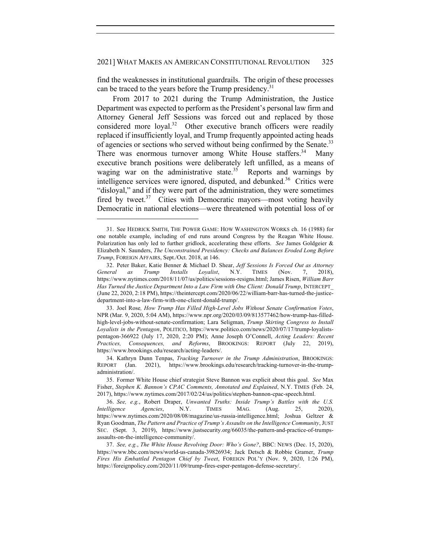find the weaknesses in institutional guardrails. The origin of these processes can be traced to the years before the Trump presidency.<sup>31</sup>

From 2017 to 2021 during the Trump Administration, the Justice Department was expected to perform as the President's personal law firm and Attorney General Jeff Sessions was forced out and replaced by those considered more loyal.<sup>32</sup> Other executive branch officers were readily replaced if insufficiently loyal, and Trump frequently appointed acting heads of agencies or sections who served without being confirmed by the Senate.<sup>33</sup> There was enormous turnover among White House staffers.<sup>34</sup> Many executive branch positions were deliberately left unfilled, as a means of waging war on the administrative state.<sup>35</sup> Reports and warnings by intelligence services were ignored, disputed, and debunked.<sup>36</sup> Critics were "disloyal," and if they were part of the administration, they were sometimes fired by tweet.<sup>37</sup> Cities with Democratic mayors—most voting heavily Democratic in national elections—were threatened with potential loss of or

<sup>31.</sup> See HEDRICK SMITH, THE POWER GAME: HOW WASHINGTON WORKS ch. 16 (1988) for one notable example, including of end runs around Congress by the Reagan White House. Polarization has only led to further gridlock, accelerating these efforts. *See* James Goldgeier & Elizabeth N. Saunders, *The Unconstrained Presidency: Checks and Balances Eroded Long Before Trump*, FOREIGN AFFAIRS, Sept./Oct. 2018, at 146.

<sup>32.</sup> Peter Baker, Katie Benner & Michael D. Shear, *Jeff Sessions Is Forced Out as Attorney General as Trump Installs Loyalist*, N.Y. TIMES (Nov. 7, 2018), https://www.nytimes.com/2018/11/07/us/politics/sessions-resigns.html; James Risen, *William Barr Has Turned the Justice Department Into a Law Firm with One Client: Donald Trump*, INTERCEPT (June 22, 2020, 2:18 PM), https://theintercept.com/2020/06/22/william-barr-has-turned-the-justicedepartment-into-a-law-firm-with-one-client-donald-trump/.

<sup>33.</sup> Joel Rose*, How Trump Has Filled High-Level Jobs Without Senate Confirmation Votes*, NPR (Mar. 9, 2020, 5:04 AM), https://www.npr.org/2020/03/09/813577462/how-trump-has-filledhigh-level-jobs-without-senate-confirmation; Lara Seligman, *Trump Skirting Congress to Install Loyalists in the Pentagon*, POLITICO, https://www.politico.com/news/2020/07/17/trump-loyalistspentagon-366922 (July 17, 2020, 2:20 PM); Anne Joseph O'Connell, *Acting Leaders: Recent Practices, Consequences, and Reforms*, BROOKINGS: REPORT (July 22, 2019), https://www.brookings.edu/research/acting-leaders/.

<sup>34.</sup> Kathryn Dunn Tenpas, *Tracking Turnover in the Trump Administration*, BROOKINGS: REPORT (Jan. 2021), https://www.brookings.edu/research/tracking-turnover-in-the-trumpadministration/.

<sup>35.</sup> Former White House chief strategist Steve Bannon was explicit about this goal. *See* Max Fisher, *Stephen K. Bannon's CPAC Comments, Annotated and Explained*, N.Y. TIMES (Feb. 24, 2017), https://www.nytimes.com/2017/02/24/us/politics/stephen-bannon-cpac-speech.html.

<sup>36.</sup> *See, e.g.*, Robert Draper, *Unwanted Truths: Inside Trump's Battles with the U.S. Intelligence Agencies*, N.Y. TIMES MAG. (Aug. 25, 2020), https://www.nytimes.com/2020/08/08/magazine/us-russia-intelligence.html; Joshua Geltzer & Ryan Goodman, *The Pattern and Practice of Trump's Assaults on the Intelligence Community*, JUST SEC. (Sept. 3, 2019), https://www.justsecurity.org/66035/the-pattern-and-practice-of-trumpsassaults-on-the-intelligence-community/.

<sup>37.</sup> *See, e.g.*, *The White House Revolving Door: Who's Gone?*, BBC: NEWS (Dec. 15, 2020), https://www.bbc.com/news/world-us-canada-39826934; Jack Detsch & Robbie Gramer, *Trump Fires His Embattled Pentagon Chief by Tweet*, FOREIGN POL'Y (Nov. 9, 2020, 1:26 PM), https://foreignpolicy.com/2020/11/09/trump-fires-esper-pentagon-defense-secretary/.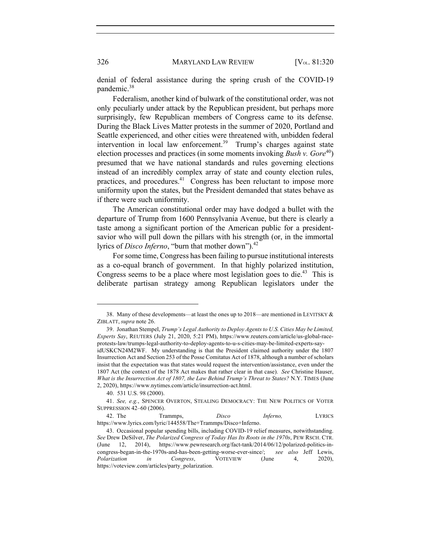denial of federal assistance during the spring crush of the COVID-19 pandemic.<sup>38</sup>

Federalism, another kind of bulwark of the constitutional order, was not only peculiarly under attack by the Republican president, but perhaps more surprisingly, few Republican members of Congress came to its defense. During the Black Lives Matter protests in the summer of 2020, Portland and Seattle experienced, and other cities were threatened with, unbidden federal intervention in local law enforcement.<sup>39</sup> Trump's charges against state election processes and practices (in some moments invoking *Bush v. Gore*<sup>40</sup>) presumed that we have national standards and rules governing elections instead of an incredibly complex array of state and county election rules, practices, and procedures.<sup>41</sup> Congress has been reluctant to impose more uniformity upon the states, but the President demanded that states behave as if there were such uniformity.

The American constitutional order may have dodged a bullet with the departure of Trump from 1600 Pennsylvania Avenue, but there is clearly a taste among a significant portion of the American public for a presidentsavior who will pull down the pillars with his strength (or, in the immortal lyrics of *Disco Inferno*, "burn that mother down").<sup>42</sup>

For some time, Congress has been failing to pursue institutional interests as a co-equal branch of government. In that highly polarized institution, Congress seems to be a place where most legislation goes to die.<sup>43</sup> This is deliberate partisan strategy among Republican legislators under the

<sup>38.</sup> Many of these developments—at least the ones up to 2018—are mentioned in LEVITSKY & ZIBLATT, *supra* note 26.

<sup>39.</sup> Jonathan Stempel, *Trump's Legal Authority to Deploy Agents to U.S. Cities May be Limited, Experts Say*, REUTERS (July 21, 2020, 5:21 PM), https://www.reuters.com/article/us-global-raceprotests-law/trumps-legal-authority-to-deploy-agents-to-u-s-cities-may-be-limited-experts-sayidUSKCN24M2WF. My understanding is that the President claimed authority under the 1807 Insurrection Act and Section 253 of the Posse Comitatus Act of 1878, although a number of scholars insist that the expectation was that states would request the intervention/assistance, even under the 1807 Act (the context of the 1878 Act makes that rather clear in that case). *See* Christine Hauser, *What is the Insurrection Act of 1807, the Law Behind Trump's Threat to States?* N.Y. TIMES (June 2, 2020), https://www.nytimes.com/article/insurrection-act.html.

<sup>40. 531</sup> U.S. 98 (2000).

<sup>41.</sup> *See, e.g.*, SPENCER OVERTON, STEALING DEMOCRACY: THE NEW POLITICS OF VOTER SUPPRESSION 42–60 (2006).

<sup>42.</sup> The Trammps, *Disco Inferno,* LYRICS https://www.lyrics.com/lyric/144558/The+Trammps/Disco+Inferno.

<sup>43.</sup> Occasional popular spending bills, including COVID-19 relief measures, notwithstanding. *See* Drew DeSilver, *The Polarized Congress of Today Has Its Roots in the 1970s*, PEW RSCH. CTR. (June 12, 2014), https://www.pewresearch.org/fact-tank/2014/06/12/polarized-politics-incongress-began-in-the-1970s-and-has-been-getting-worse-ever-since/; *see also* Jeff Lewis, *Polarization in Congress*, VOTEVIEW (June 4, 2020), https://voteview.com/articles/party\_polarization.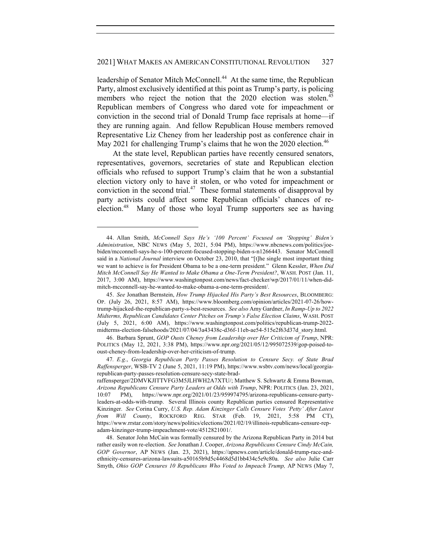## 2021] WHAT MAKES AN AMERICAN CONSTITUTIONAL REVOLUTION 327

leadership of Senator Mitch McConnell.<sup>44</sup> At the same time, the Republican Party, almost exclusively identified at this point as Trump's party, is policing members who reject the notion that the 2020 election was stolen.<sup>45</sup> Republican members of Congress who dared vote for impeachment or conviction in the second trial of Donald Trump face reprisals at home—if they are running again. And fellow Republican House members removed Representative Liz Cheney from her leadership post as conference chair in May 2021 for challenging Trump's claims that he won the 2020 election.<sup>46</sup>

At the state level, Republican parties have recently censured senators, representatives, governors, secretaries of state and Republican election officials who refused to support Trump's claim that he won a substantial election victory only to have it stolen, or who voted for impeachment or conviction in the second trial.<sup>47</sup> These formal statements of disapproval by party activists could affect some Republican officials' chances of reelection.<sup>48</sup> Many of those who loyal Trump supporters see as having

<sup>44.</sup> Allan Smith, *McConnell Says He's '100 Percent' Focused on 'Stopping' Biden's Administration*, NBC NEWS (May 5, 2021, 5:04 PM), https://www.nbcnews.com/politics/joebiden/mcconnell-says-he-s-100-percent-focused-stopping-biden-s-n1266443. Senator McConnell said in a *National Journal* interview on October 23, 2010, that "[t]he single most important thing we want to achieve is for President Obama to be a one-term president." Glenn Kessler, *When Did Mitch McConnell Say He Wanted to Make Obama a One-Term President?*, WASH. POST (Jan. 11, 2017, 3:00 AM), https://www.washingtonpost.com/news/fact-checker/wp/2017/01/11/when-didmitch-mcconnell-say-he-wanted-to-make-obama-a-one-term-president/.

<sup>45.</sup> *See* Jonathan Bernstein, *How Trump Hijacked His Party's Best Resources*, BLOOMBERG: OP. (July 26, 2021, 8:57 AM), https://www.bloomberg.com/opinion/articles/2021-07-26/howtrump-hijacked-the-republican-party-s-best-resources. *See also* Amy Gardner, *In Ramp-Up to 2022 Midterms, Republican Candidates Center Pitches on Trump's False Election Claims*, WASH. POST (July 5, 2021, 6:00 AM), https://www.washingtonpost.com/politics/republican-trump-2022 midterms-election-falsehoods/2021/07/04/3a43438c-d36f-11eb-ae54-515e2f63d37d\_story.html.

<sup>46.</sup> Barbara Sprunt, *GOP Ousts Cheney from Leadership over Her Criticism of Trump*, NPR: POLITICS (May 12, 2021, 3:38 PM), https://www.npr.org/2021/05/12/995072539/gop-poised-tooust-cheney-from-leadership-over-her-criticism-of-trump.

<sup>47</sup>*. E.g.*, *Georgia Republican Party Passes Resolution to Censure Secy. of State Brad Raffensperger*, WSB-TV 2 (June 5, 2021, 11:19 PM), https://www.wsbtv.com/news/local/georgiarepublican-party-passes-resolution-censure-secy-state-brad-

raffensperger/2DMVKJITTVFG3M5JLHWH2A7XTU/; Matthew S. Schwartz & Emma Bowman, *Arizona Republicans Censure Party Leaders at Odds with Trump*, NPR: POLITICS (Jan. 23, 2021, 10:07 PM), https://www.npr.org/2021/01/23/959974795/arizona-republicans-censure-partyleaders-at-odds-with-trump. Several Illinois county Republican parties censured Representative Kinzinger. *See* Corina Curry, *U.S. Rep. Adam Kinzinger Calls Censure Votes 'Petty' After Latest from Will County*, ROCKFORD REG. STAR (Feb. 19, 2021, 5:58 PM CT), https://www.rrstar.com/story/news/politics/elections/2021/02/19/illinois-republicans-censure-repadam-kinzinger-trump-impeachment-vote/4512821001/.

<sup>48.</sup> Senator John McCain was formally censured by the Arizona Republican Party in 2014 but rather easily won re-election. *See* Jonathan J. Cooper, *Arizona Republicans Censure Cindy McCain, GOP Governor*, AP NEWS (Jan. 23, 2021), https://apnews.com/article/donald-trump-race-andethnicity-censures-arizona-lawsuits-a50165b9d5c4468d5d1bb434c5e9c80a. *See also* Julie Carr Smyth, *Ohio GOP Censures 10 Republicans Who Voted to Impeach Trump,* AP NEWS (May 7,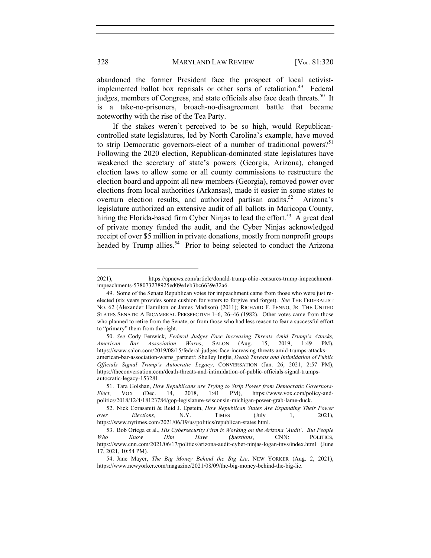abandoned the former President face the prospect of local activistimplemented ballot box reprisals or other sorts of retaliation.<sup>49</sup> Federal judges, members of Congress, and state officials also face death threats.<sup>50</sup> It is a take-no-prisoners, broach-no-disagreement battle that became noteworthy with the rise of the Tea Party.

If the stakes weren't perceived to be so high, would Republicancontrolled state legislatures, led by North Carolina's example, have moved to strip Democratic governors-elect of a number of traditional powers?<sup>51</sup> Following the 2020 election, Republican-dominated state legislatures have weakened the secretary of state's powers (Georgia, Arizona), changed election laws to allow some or all county commissions to restructure the election board and appoint all new members (Georgia), removed power over elections from local authorities (Arkansas), made it easier in some states to overturn election results, and authorized partisan audits.<sup>52</sup> Arizona's legislature authorized an extensive audit of all ballots in Maricopa County, hiring the Florida-based firm Cyber Ninjas to lead the effort.<sup>53</sup> A great deal of private money funded the audit, and the Cyber Ninjas acknowledged receipt of over \$5 million in private donations, mostly from nonprofit groups headed by Trump allies.<sup>54</sup> Prior to being selected to conduct the Arizona

<sup>2021),</sup> https://apnews.com/article/donald-trump-ohio-censures-trump-impeachmentimpeachments-578073278925ed09e4eb3bc6639e32a6.

<sup>49.</sup> Some of the Senate Republican votes for impeachment came from those who were just reelected (six years provides some cushion for voters to forgive and forget). *See* THE FEDERALIST NO. 62 (Alexander Hamilton or James Madison) (2011); RICHARD F. FENNO, JR. THE UNITED STATES SENATE: A BICAMERAL PERSPECTIVE 1–6, 26–46 (1982). Other votes came from those who planned to retire from the Senate, or from those who had less reason to fear a successful effort to "primary" them from the right.

<sup>50.</sup> *See* Cody Fenwick, *Federal Judges Face Increasing Threats Amid Trump's Attacks, American Bar Association Warns*, SALON (Aug. 15, 2019, 1:49 PM), https://www.salon.com/2019/08/15/federal-judges-face-increasing-threats-amid-trumps-attacksamerican-bar-association-warns\_partner/; Shelley Inglis, *Death Threats and Intimidation of Public Officials Signal Trump's Autocratic Legacy*, CONVERSATION (Jan. 26, 2021, 2:57 PM), https://theconversation.com/death-threats-and-intimidation-of-public-officials-signal-trumpsautocratic-legacy-153281.

<sup>51.</sup> Tara Golshan, *How Republicans are Trying to Strip Power from Democratic Governors-Elect*, VOX (Dec. 14, 2018, 1:41 PM), https://www.vox.com/policy-andpolitics/2018/12/4/18123784/gop-legislature-wisconsin-michigan-power-grab-lame-duck.

<sup>52.</sup> Nick Corasaniti & Reid J. Epstein, *How Republican States Are Expanding Their Power over Elections,* N.Y. TIMES (July 1, 2021), https://www.nytimes.com/2021/06/19/us/politics/republican-states.html.

<sup>53.</sup> Bob Ortega et al., *His Cybersecurity Firm is Working on the Arizona 'Audit'. But People Who Know Him Have Questions*, CNN: POLITICS, https://www.cnn.com/2021/06/17/politics/arizona-audit-cyber-ninjas-logan-invs/index.html (June 17, 2021, 10:54 PM).

<sup>54.</sup> Jane Mayer, *The Big Money Behind the Big Lie*, NEW YORKER (Aug. 2, 2021), https://www.newyorker.com/magazine/2021/08/09/the-big-money-behind-the-big-lie.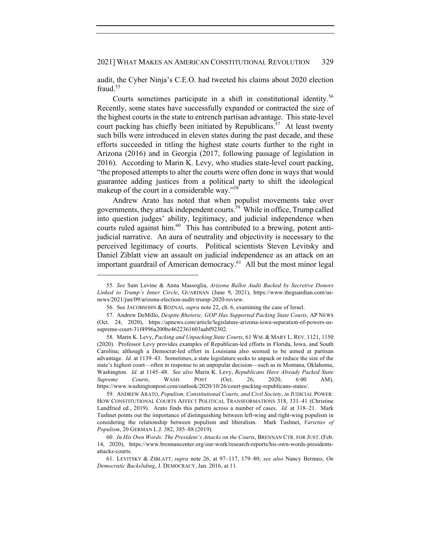audit, the Cyber Ninja's C.E.O. had tweeted his claims about 2020 election fraud.<sup>55</sup>

Courts sometimes participate in a shift in constitutional identity.<sup>56</sup> Recently, some states have successfully expanded or contracted the size of the highest courts in the state to entrench partisan advantage. This state-level court packing has chiefly been initiated by Republicans.<sup>57</sup> At least twenty such bills were introduced in eleven states during the past decade, and these efforts succeeded in titling the highest state courts further to the right in Arizona (2016) and in Georgia (2017, following passage of legislation in 2016). According to Marin K. Levy, who studies state-level court packing, "the proposed attempts to alter the courts were often done in ways that would guarantee adding justices from a political party to shift the ideological makeup of the court in a considerable way."58

Andrew Arato has noted that when populist movements take over governments, they attack independent courts.59 While in office, Trump called into question judges' ability, legitimacy, and judicial independence when courts ruled against him.<sup>60</sup> This has contributed to a brewing, potent antijudicial narrative. An aura of neutrality and objectivity is necessary to the perceived legitimacy of courts. Political scientists Steven Levitsky and Daniel Ziblatt view an assault on judicial independence as an attack on an important guardrail of American democracy.<sup>61</sup> All but the most minor legal

<sup>55.</sup> *See* Sam Levine & Anna Massoglia, *Arizona Ballot Audit Backed by Secretive Donors Linked to Trump's Inner Circle*, GUARDIAN (June 9, 2021), https://www.theguardian.com/usnews/2021/jun/09/arizona-election-audit-trump-2020-review.

<sup>56.</sup> See JACOBSOHN & ROZNAI, *supra* note 22, ch. 6, examining the case of Israel.

<sup>57.</sup> Andrew DeMillo, *Despite Rhetoric, GOP Has Supported Packing State Courts*, AP NEWS (Oct. 24, 2020), https://apnews.com/article/legislature-arizona-iowa-separation-of-powers-ussupreme-court-31f4996a200be4622361603aabf92302.

<sup>58.</sup> Marin K. Levy, *Packing and Unpacking State Courts*, 61 WM. & MARY L. REV. 1121, 1150 (2020). Professor Levy provides examples of Republican-led efforts in Florida, Iowa, and South Carolina; although a Democrat-led effort in Louisiana also seemed to be aimed at partisan advantage. *Id.* at 1139–43. Sometimes, a state legislature seeks to unpack or reduce the size of the state's highest court—often in response to an unpopular decision—such as in Montana, Oklahoma, Washington. *Id.* at 1145–48. *See also* Marin K. Levy, *Republicans Have Already Packed State Supreme Courts*, WASH. POST (Oct. 26, 2020, 6:00 AM), https://www.washingtonpost.com/outlook/2020/10/26/court-packing-republicans-states/.

<sup>59.</sup> ANDREW ARATO, *Populism, Constitutional Courts, and Civil Society*, *in* JUDICIAL POWER: HOW CONSTITUTIONAL COURTS AFFECT POLITICAL TRANSFORMATIONS 318, 331–41 (Christine Landfried ed., 2019). Arato finds this pattern across a number of cases. *Id.* at 318–21. Mark Tushnet points out the importance of distinguishing between left-wing and right-wing populism in considering the relationship between populism and liberalism. Mark Tushnet, *Varieties of Populism*, 20 GERMAN L.J. 382, 385–88 (2019).

<sup>60.</sup> *In His Own Words: The President's Attacks on the Courts*, BRENNAN CTR. FOR JUST. (Feb. 14, 2020), https://www.brennancenter.org/our-work/research-reports/his-own-words-presidentsattacks-courts.

<sup>61.</sup> LEVITSKY & ZIBLATT, *supra* note 26, at 97–117, 179–80; *see also* Nancy Bermeo, *On Democratic Backsliding*, J. DEMOCRACY, Jan. 2016, at 11.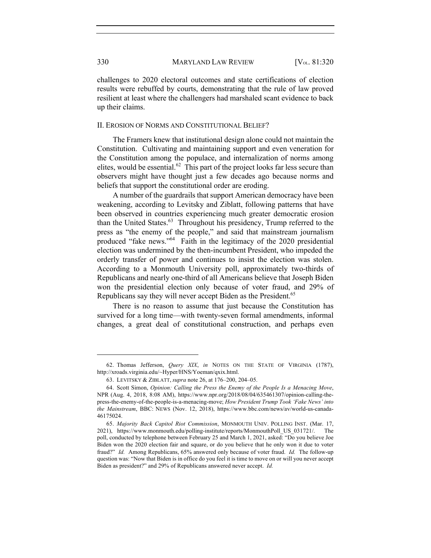challenges to 2020 electoral outcomes and state certifications of election results were rebuffed by courts, demonstrating that the rule of law proved resilient at least where the challengers had marshaled scant evidence to back up their claims.

#### II. EROSION OF NORMS AND CONSTITUTIONAL BELIEF?

The Framers knew that institutional design alone could not maintain the Constitution. Cultivating and maintaining support and even veneration for the Constitution among the populace, and internalization of norms among elites, would be essential.<sup>62</sup> This part of the project looks far less secure than observers might have thought just a few decades ago because norms and beliefs that support the constitutional order are eroding.

A number of the guardrails that support American democracy have been weakening, according to Levitsky and Ziblatt, following patterns that have been observed in countries experiencing much greater democratic erosion than the United States.<sup>63</sup> Throughout his presidency, Trump referred to the press as "the enemy of the people," and said that mainstream journalism produced "fake news."64 Faith in the legitimacy of the 2020 presidential election was undermined by the then-incumbent President, who impeded the orderly transfer of power and continues to insist the election was stolen. According to a Monmouth University poll, approximately two-thirds of Republicans and nearly one-third of all Americans believe that Joseph Biden won the presidential election only because of voter fraud, and 29% of Republicans say they will never accept Biden as the President.<sup>65</sup>

There is no reason to assume that just because the Constitution has survived for a long time—with twenty-seven formal amendments, informal changes, a great deal of constitutional construction, and perhaps even

<sup>62.</sup> Thomas Jefferson, *Query XIX*, *in* NOTES ON THE STATE OF VIRGINIA (1787), http://xroads.virginia.edu/~Hyper/HNS/Yoeman/qxix.html.

<sup>63.</sup> LEVITSKY & ZIBLATT, *supra* note 26, at 176–200, 204–05.

<sup>64.</sup> Scott Simon, *Opinion: Calling the Press the Enemy of the People Is a Menacing Move*, NPR (Aug. 4, 2018, 8:08 AM), https://www.npr.org/2018/08/04/635461307/opinion-calling-thepress-the-enemy-of-the-people-is-a-menacing-move; *How President Trump Took 'Fake News' into the Mainstream*, BBC: NEWS (Nov. 12, 2018), https://www.bbc.com/news/av/world-us-canada-46175024.

<sup>65.</sup> *Majority Back Capitol Riot Commission*, MONMOUTH UNIV. POLLING INST. (Mar. 17, 2021), https://www.monmouth.edu/polling-institute/reports/MonmouthPoll\_US\_031721/. The poll, conducted by telephone between February 25 and March 1, 2021, asked: "Do you believe Joe Biden won the 2020 election fair and square, or do you believe that he only won it due to voter fraud?" *Id.* Among Republicans, 65% answered only because of voter fraud. *Id.* The follow-up question was: "Now that Biden is in office do you feel it is time to move on or will you never accept Biden as president?" and 29% of Republicans answered never accept. *Id.*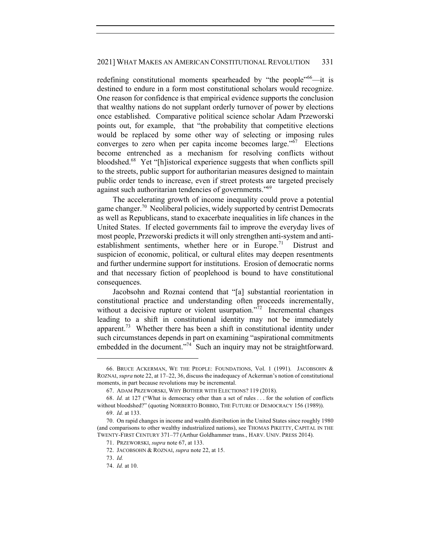redefining constitutional moments spearheaded by "the people"<sup>66</sup>—it is destined to endure in a form most constitutional scholars would recognize. One reason for confidence is that empirical evidence supports the conclusion that wealthy nations do not supplant orderly turnover of power by elections once established. Comparative political science scholar Adam Przeworski points out, for example, that "the probability that competitive elections would be replaced by some other way of selecting or imposing rules converges to zero when per capita income becomes large."67 Elections become entrenched as a mechanism for resolving conflicts without bloodshed.<sup>68</sup> Yet "[h]istorical experience suggests that when conflicts spill to the streets, public support for authoritarian measures designed to maintain public order tends to increase, even if street protests are targeted precisely against such authoritarian tendencies of governments."69

The accelerating growth of income inequality could prove a potential game changer.<sup>70</sup> Neoliberal policies, widely supported by centrist Democrats as well as Republicans, stand to exacerbate inequalities in life chances in the United States. If elected governments fail to improve the everyday lives of most people, Przeworski predicts it will only strengthen anti-system and antiestablishment sentiments, whether here or in Europe.<sup>71</sup> Distrust and suspicion of economic, political, or cultural elites may deepen resentments and further undermine support for institutions. Erosion of democratic norms and that necessary fiction of peoplehood is bound to have constitutional consequences.

Jacobsohn and Roznai contend that "[a] substantial reorientation in constitutional practice and understanding often proceeds incrementally, without a decisive rupture or violent usurpation."<sup>72</sup> Incremental changes leading to a shift in constitutional identity may not be immediately apparent.<sup>73</sup> Whether there has been a shift in constitutional identity under such circumstances depends in part on examining "aspirational commitments embedded in the document."<sup>74</sup> Such an inquiry may not be straightforward.

<sup>66.</sup> BRUCE ACKERMAN, WE THE PEOPLE: FOUNDATIONS, Vol. 1 (1991). JACOBSOHN & ROZNAI, *supra* note 22, at 17–22, 36, discuss the inadequacy of Ackerman's notion of constitutional moments, in part because revolutions may be incremental.

<sup>67.</sup> ADAM PRZEWORSKI, WHY BOTHER WITH ELECTIONS? 119 (2018).

<sup>68.</sup> *Id.* at 127 ("What is democracy other than a set of rules . . . for the solution of conflicts without bloodshed?" (quoting NORBERTO BOBBIO, THE FUTURE OF DEMOCRACY 156 (1989)). 69. *Id.* at 133.

<sup>70.</sup> On rapid changes in income and wealth distribution in the United States since roughly 1980 (and comparisons to other wealthy industrialized nations), see THOMAS PIKETTY, CAPITAL IN THE TWENTY-FIRST CENTURY 371–77 (Arthur Goldhammer trans., HARV. UNIV. PRESS 2014).

<sup>71.</sup> PRZEWORSKI, *supra* note 67, at 133.

<sup>72.</sup> JACOBSOHN & ROZNAI, *supra* note 22, at 15.

<sup>73.</sup> *Id.*

<sup>74.</sup> *Id.* at 10.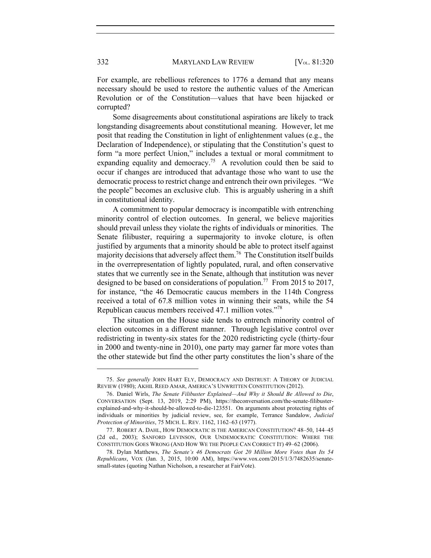For example, are rebellious references to 1776 a demand that any means necessary should be used to restore the authentic values of the American Revolution or of the Constitution—values that have been hijacked or corrupted?

Some disagreements about constitutional aspirations are likely to track longstanding disagreements about constitutional meaning. However, let me posit that reading the Constitution in light of enlightenment values (e.g., the Declaration of Independence), or stipulating that the Constitution's quest to form "a more perfect Union," includes a textual or moral commitment to expanding equality and democracy.<sup>75</sup> A revolution could then be said to occur if changes are introduced that advantage those who want to use the democratic process to restrict change and entrench their own privileges. "We the people" becomes an exclusive club. This is arguably ushering in a shift in constitutional identity.

A commitment to popular democracy is incompatible with entrenching minority control of election outcomes. In general, we believe majorities should prevail unless they violate the rights of individuals or minorities. The Senate filibuster, requiring a supermajority to invoke cloture, is often justified by arguments that a minority should be able to protect itself against majority decisions that adversely affect them.<sup>76</sup> The Constitution itself builds in the overrepresentation of lightly populated, rural, and often conservative states that we currently see in the Senate, although that institution was never designed to be based on considerations of population.<sup>77</sup> From 2015 to 2017, for instance, "the 46 Democratic caucus members in the 114th Congress received a total of 67.8 million votes in winning their seats, while the 54 Republican caucus members received 47.1 million votes."78

The situation on the House side tends to entrench minority control of election outcomes in a different manner. Through legislative control over redistricting in twenty-six states for the 2020 redistricting cycle (thirty-four in 2000 and twenty-nine in 2010), one party may garner far more votes than the other statewide but find the other party constitutes the lion's share of the

<sup>75.</sup> *See generally* JOHN HART ELY, DEMOCRACY AND DISTRUST: A THEORY OF JUDICIAL REVIEW (1980); AKHIL REED AMAR, AMERICA'S UNWRITTEN CONSTITUTION (2012).

<sup>76.</sup> Daniel Wirls, *The Senate Filibuster Explained—And Why it Should Be Allowed to Die*, CONVERSATION (Sept. 13, 2019, 2:29 PM), https://theconversation.com/the-senate-filibusterexplained-and-why-it-should-be-allowed-to-die-123551. On arguments about protecting rights of individuals or minorities by judicial review, see, for example, Terrance Sandalow, *Judicial Protection of Minorities*, 75 MICH. L. REV. 1162, 1162–63 (1977).

<sup>77.</sup> ROBERT A. DAHL, HOW DEMOCRATIC IS THE AMERICAN CONSTITUTION? 48–50, 144–45 (2d ed., 2003); SANFORD LEVINSON, OUR UNDEMOCRATIC CONSTITUTION: WHERE THE CONSTITUTION GOES WRONG (AND HOW WE THE PEOPLE CAN CORRECT IT) 49–62 (2006).

<sup>78.</sup> Dylan Matthews, *The Senate's 46 Democrats Got 20 Million More Votes than Its 54 Republicans*, VOX (Jan. 3, 2015, 10:00 AM), https://www.vox.com/2015/1/3/7482635/senatesmall-states (quoting Nathan Nicholson, a researcher at FairVote).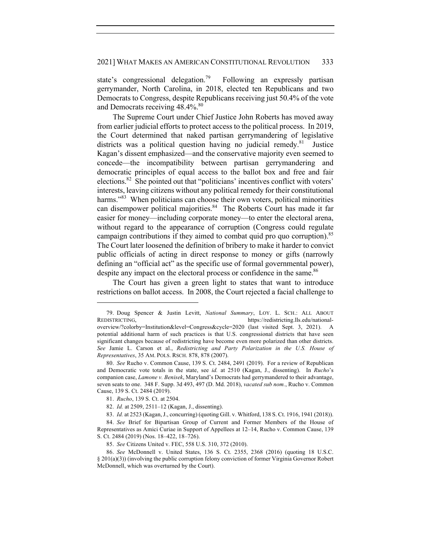state's congressional delegation.<sup>79</sup> Following an expressly partisan gerrymander, North Carolina, in 2018, elected ten Republicans and two Democrats to Congress, despite Republicans receiving just 50.4% of the vote and Democrats receiving 48.4%.<sup>80</sup>

The Supreme Court under Chief Justice John Roberts has moved away from earlier judicial efforts to protect access to the political process. In 2019, the Court determined that naked partisan gerrymandering of legislative districts was a political question having no judicial remedy.<sup>81</sup> Justice Kagan's dissent emphasized—and the conservative majority even seemed to concede—the incompatibility between partisan gerrymandering and democratic principles of equal access to the ballot box and free and fair elections.82 She pointed out that "politicians' incentives conflict with voters' interests, leaving citizens without any political remedy for their constitutional harms."<sup>83</sup> When politicians can choose their own voters, political minorities can disempower political majorities.<sup>84</sup> The Roberts Court has made it far easier for money—including corporate money—to enter the electoral arena, without regard to the appearance of corruption (Congress could regulate campaign contributions if they aimed to combat quid pro quo corruption).<sup>85</sup> The Court later loosened the definition of bribery to make it harder to convict public officials of acting in direct response to money or gifts (narrowly defining an "official act" as the specific use of formal governmental power), despite any impact on the electoral process or confidence in the same.<sup>86</sup>

The Court has given a green light to states that want to introduce restrictions on ballot access. In 2008, the Court rejected a facial challenge to

<sup>79.</sup> Doug Spencer & Justin Levitt, *National Summary*, LOY. L. SCH.: ALL ABOUT REDISTRICTING, https://redistricting.lls.edu/nationaloverview/?colorby=Institution&level=Congress&cycle=2020 (last visited Sept. 3, 2021). A potential additional harm of such practices is that U.S. congressional districts that have seen significant changes because of redistricting have become even more polarized than other districts. *See* Jamie L. Carson et al., *Redistricting and Party Polarization in the U.S. House of Representatives*, 35 AM. POLS. RSCH. 878, 878 (2007).

<sup>80.</sup> *See* Rucho v. Common Cause, 139 S. Ct. 2484, 2491 (2019). For a review of Republican and Democratic vote totals in the state, see *id.* at 2510 (Kagan, J., dissenting). In *Rucho*'s companion case, *Lamone v. Benisek*, Maryland's Democrats had gerrymandered to their advantage, seven seats to one. 348 F. Supp. 3d 493, 497 (D. Md. 2018), *vacated sub nom.*, Rucho v. Common Cause, 139 S. Ct. 2484 (2019).

<sup>81.</sup> *Rucho*, 139 S. Ct. at 2504.

<sup>82.</sup> *Id.* at 2509, 2511–12 (Kagan, J., dissenting).

<sup>83.</sup> *Id.* at 2523 (Kagan, J., concurring) (quoting Gill. v. Whitford, 138 S. Ct. 1916, 1941 (2018)).

<sup>84.</sup> *See* Brief for Bipartisan Group of Current and Former Members of the House of Representatives as Amici Curiae in Support of Appellees at 12–14, Rucho v. Common Cause, 139 S. Ct. 2484 (2019) (Nos. 18–422, 18–726).

<sup>85.</sup> *See* Citizens United v. FEC, 558 U.S. 310, 372 (2010).

<sup>86.</sup> *See* McDonnell v. United States, 136 S. Ct. 2355, 2368 (2016) (quoting 18 U.S.C. § 201(a)(3)) (involving the public corruption felony conviction of former Virginia Governor Robert McDonnell, which was overturned by the Court).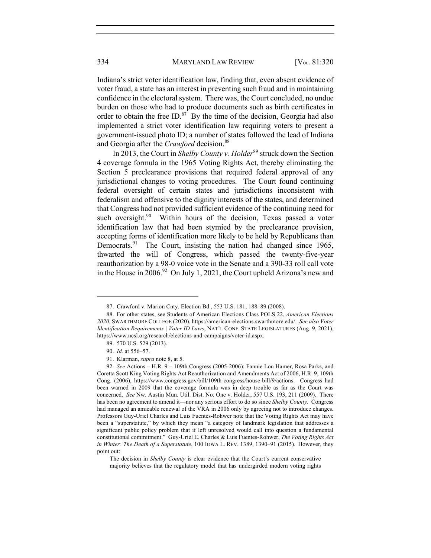334 MARYLAND LAW REVIEW [V<sub>OL.</sub> 81:320]

Indiana's strict voter identification law, finding that, even absent evidence of voter fraud, a state has an interest in preventing such fraud and in maintaining confidence in the electoral system. There was, the Court concluded, no undue burden on those who had to produce documents such as birth certificates in order to obtain the free  $ID$ .<sup>87</sup> By the time of the decision, Georgia had also implemented a strict voter identification law requiring voters to present a government-issued photo ID; a number of states followed the lead of Indiana and Georgia after the *Crawford* decision. 88

In 2013, the Court in *Shelby County v. Holder*<sup>89</sup> struck down the Section 4 coverage formula in the 1965 Voting Rights Act, thereby eliminating the Section 5 preclearance provisions that required federal approval of any jurisdictional changes to voting procedures. The Court found continuing federal oversight of certain states and jurisdictions inconsistent with federalism and offensive to the dignity interests of the states, and determined that Congress had not provided sufficient evidence of the continuing need for such oversight.<sup>90</sup> Within hours of the decision, Texas passed a voter identification law that had been stymied by the preclearance provision, accepting forms of identification more likely to be held by Republicans than Democrats.<sup>91</sup> The Court, insisting the nation had changed since 1965, thwarted the will of Congress, which passed the twenty-five-year reauthorization by a 98-0 voice vote in the Senate and a 390-33 roll call vote in the House in 2006.<sup>92</sup> On July 1, 2021, the Court upheld Arizona's new and

The decision in *Shelby County* is clear evidence that the Court's current conservative majority believes that the regulatory model that has undergirded modern voting rights

<sup>87.</sup> Crawford v. Marion Cnty. Election Bd., 553 U.S. 181, 188–89 (2008).

<sup>88.</sup> For other states, see Students of American Elections Class POLS 22, *American Elections 2020*, SWARTHMORE COLLEGE (2020), https://american-elections.swarthmore.edu/. *See also Voter Identification Requirements | Voter ID Laws*, NAT'L CONF. STATE LEGISLATURES (Aug. 9, 2021), https://www.ncsl.org/research/elections-and-campaigns/voter-id.aspx.

<sup>89.</sup> 570 U.S. 529 (2013).

<sup>90.</sup> *Id.* at 556–57.

<sup>91.</sup> Klarman, *supra* note 8, at 5.

<sup>92</sup>*. See* Actions – H.R. 9 – 109th Congress (2005-2006): Fannie Lou Hamer, Rosa Parks, and Coretta Scott King Voting Rights Act Reauthorization and Amendments Act of 2006, H.R. 9, 109th Cong. (2006), https://www.congress.gov/bill/109th-congress/house-bill/9/actions. Congress had been warned in 2009 that the coverage formula was in deep trouble as far as the Court was concerned. *See* Nw. Austin Mun. Util. Dist. No. One v. Holder, 557 U.S. 193, 211 (2009). There has been no agreement to amend it—nor any serious effort to do so since *Shelby County*. Congress had managed an amicable renewal of the VRA in 2006 only by agreeing not to introduce changes. Professors Guy-Uriel Charles and Luis Fuentes-Rohwer note that the Voting Rights Act may have been a "superstatute," by which they mean "a category of landmark legislation that addresses a significant public policy problem that if left unresolved would call into question a fundamental constitutional commitment." Guy-Uriel E. Charles & Luis Fuentes-Rohwer, *The Voting Rights Act in Winter: The Death of a Superstatute*, 100 IOWA L. REV. 1389, 1390–91 (2015). However, they point out: